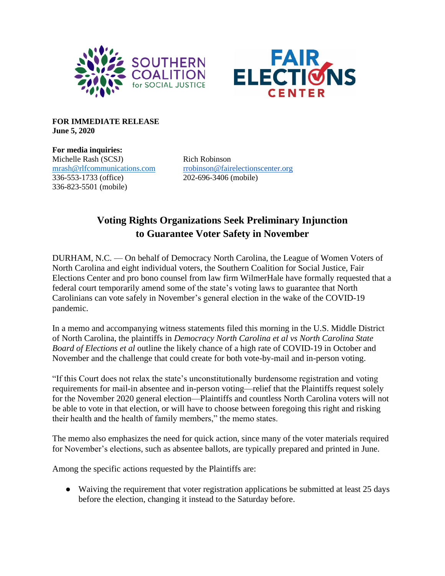



**FOR IMMEDIATE RELEASE June 5, 2020**

**For media inquiries:** Michelle Rash (SCSJ) Rich Robinson 336-553-1733 (office) 202-696-3406 (mobile) 336-823-5501 (mobile)

[mrash@rlfcommunications.com](mailto:mrash@rlfcommunications.com) [rrobinson@fairelectionscenter.org](mailto:rrobinson@fairelectionscenter.org)

# **Voting Rights Organizations Seek Preliminary Injunction to Guarantee Voter Safety in November**

DURHAM, N.C. — On behalf of Democracy North Carolina, the League of Women Voters of North Carolina and eight individual voters, the Southern Coalition for Social Justice, Fair Elections Center and pro bono counsel from law firm WilmerHale have formally requested that a federal court temporarily amend some of the state's voting laws to guarantee that North Carolinians can vote safely in November's general election in the wake of the COVID-19 pandemic.

In a memo and accompanying witness statements filed this morning in the U.S. Middle District of North Carolina, the plaintiffs in *Democracy North Carolina et al vs North Carolina State Board of Elections et al* outline the likely chance of a high rate of COVID-19 in October and November and the challenge that could create for both vote-by-mail and in-person voting.

"If this Court does not relax the state's unconstitutionally burdensome registration and voting requirements for mail-in absentee and in-person voting—relief that the Plaintiffs request solely for the November 2020 general election—Plaintiffs and countless North Carolina voters will not be able to vote in that election, or will have to choose between foregoing this right and risking their health and the health of family members," the memo states.

The memo also emphasizes the need for quick action, since many of the voter materials required for November's elections, such as absentee ballots, are typically prepared and printed in June.

Among the specific actions requested by the Plaintiffs are:

● Waiving the requirement that voter registration applications be submitted at least 25 days before the election, changing it instead to the Saturday before.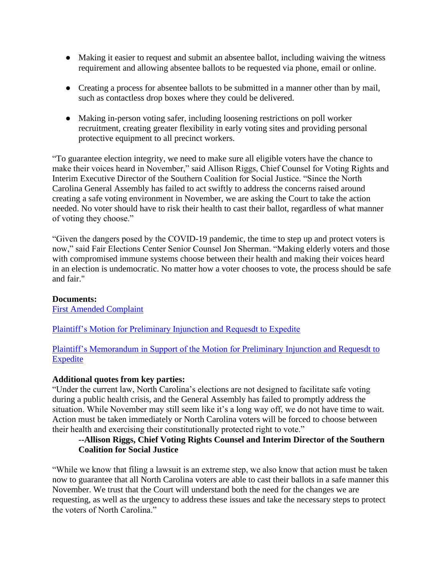- Making it easier to request and submit an absentee ballot, including waiving the witness requirement and allowing absentee ballots to be requested via phone, email or online.
- Creating a process for absentee ballots to be submitted in a manner other than by mail, such as contactless drop boxes where they could be delivered.
- Making in-person voting safer, including loosening restrictions on poll worker recruitment, creating greater flexibility in early voting sites and providing personal protective equipment to all precinct workers.

"To guarantee election integrity, we need to make sure all eligible voters have the chance to make their voices heard in November," said Allison Riggs, Chief Counsel for Voting Rights and Interim Executive Director of the Southern Coalition for Social Justice. "Since the North Carolina General Assembly has failed to act swiftly to address the concerns raised around creating a safe voting environment in November, we are asking the Court to take the action needed. No voter should have to risk their health to cast their ballot, regardless of what manner of voting they choose."

"Given the dangers posed by the COVID-19 pandemic, the time to step up and protect voters is now," said Fair Elections Center Senior Counsel Jon Sherman. "Making elderly voters and those with compromised immune systems choose between their health and making their voices heard in an election is undemocratic. No matter how a voter chooses to vote, the process should be safe and fair."

#### **Documents:**

[First Amended Complaint](https://642cf75b-6e65-4c0d-82e2-11357e0523f7.filesusr.com/ugd/85cfb4_eb163b3abe4948e394dd363d65af0f11.pdf)

[Plaintiff's Motion for Preliminary Injunction and Requesdt to Expedite](https://642cf75b-6e65-4c0d-82e2-11357e0523f7.filesusr.com/ugd/85cfb4_5d73c35bdf6e4c01a398f028b3353074.pdf)

[Plaintiff's Memorandum in Support of the Motion for Preliminary Injunction and Requesdt to](https://642cf75b-6e65-4c0d-82e2-11357e0523f7.filesusr.com/ugd/85cfb4_7644a266450a4763a8a39c8ce6d078b7.pdf)  **[Expedite](https://642cf75b-6e65-4c0d-82e2-11357e0523f7.filesusr.com/ugd/85cfb4_7644a266450a4763a8a39c8ce6d078b7.pdf)** 

#### **Additional quotes from key parties:**

"Under the current law, North Carolina's elections are not designed to facilitate safe voting during a public health crisis, and the General Assembly has failed to promptly address the situation. While November may still seem like it's a long way off, we do not have time to wait. Action must be taken immediately or North Carolina voters will be forced to choose between their health and exercising their constitutionally protected right to vote."

# **--Allison Riggs, Chief Voting Rights Counsel and Interim Director of the Southern Coalition for Social Justice**

"While we know that filing a lawsuit is an extreme step, we also know that action must be taken now to guarantee that all North Carolina voters are able to cast their ballots in a safe manner this November. We trust that the Court will understand both the need for the changes we are requesting, as well as the urgency to address these issues and take the necessary steps to protect the voters of North Carolina."